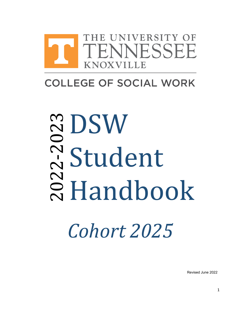

# **COLLEGE OF SOCIAL WORK**

# **20** 2 Handbook 2 -20  $\boldsymbol{\mathsf{C}}$ **SDSW** Student

*Cohort 2025*

Revised June 2022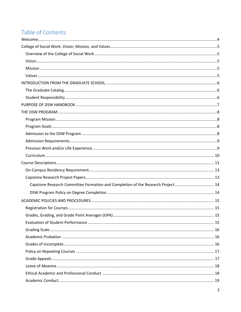# Table of Contents

| Capstone Research Committee Formation and Completion of the Research Project 14 |  |
|---------------------------------------------------------------------------------|--|
|                                                                                 |  |
|                                                                                 |  |
|                                                                                 |  |
|                                                                                 |  |
|                                                                                 |  |
|                                                                                 |  |
|                                                                                 |  |
|                                                                                 |  |
|                                                                                 |  |
|                                                                                 |  |
|                                                                                 |  |
|                                                                                 |  |
|                                                                                 |  |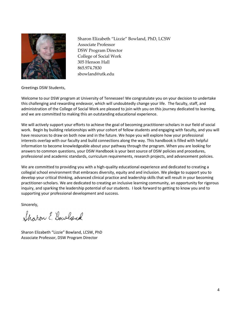

Sharon Elizabeth "Lizzie" Bowland, PhD, LCSW Associate Professor DSW Program Director College of Social Work 305 Henson Hall 865.974.7830 sbowland@utk.edu

Greetings DSW Students,

<span id="page-3-0"></span>Welcome to our DSW program at University of Tennessee! We congratulate you on your decision to undertake this challenging and rewarding endeavor, which will undoubtedly change your life. The faculty, staff, and administration of the College of Social Work are pleased to join with you on this journey dedicated to learning, and we are committed to making this an outstanding educational experience.

We will actively support your efforts to achieve the goal of becoming practitioner-scholars in our field of social work. Begin by building relationships with your cohort of fellow students and engaging with faculty, and you will have resources to draw on both now and in the future. We hope you will explore how your professional interests overlap with our faculty and build connections along the way. This handbook is filled with helpful information to become knowledgeable about your pathway through the program. When you are looking for answers to common questions, your DSW Handbook is your best source of DSW policies and procedures, professional and academic standards, curriculum requirements, research projects, and advancement policies.

We are committed to providing you with a high-quality educational experience and dedicated to creating a collegial school environment that embraces diversity, equity and and inclusion. We pledge to support you to develop your critical thinking, advanced clinical practice and leadership skills that will result in your becoming practitioner-scholars. We are dedicated to creating an inclusive learning community, an opportunity for rigorous inquiry, and sparking the leadership potential of our students. I look forward to getting to know you and to supporting your professional development and success.

Sincerely,

Sharon E. Bowland

Sharon Elizabeth "Lizzie" Bowland, LCSW, PhD Associate Professor, DSW Program Director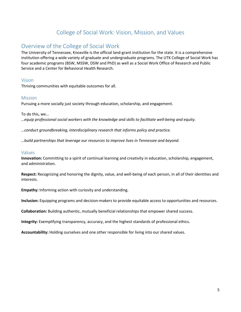# College of Social Work: Vision, Mission, and Values

# <span id="page-4-1"></span><span id="page-4-0"></span>Overview of the College of Social Work

The University of Tennessee, Knoxville is the official land-grant institution for the state. It is a comprehensive institution offering a wide variety of graduate and undergraduate programs. The UTK College of Social Work has four academic programs (BSW, MSSW, DSW and PhD) as well as a Social Work Office of Research and Public Service and a Center for Behavioral Health Research.

# <span id="page-4-2"></span>Vision

Thriving communities with equitable outcomes for all.

## <span id="page-4-3"></span>Mission

Pursuing a more socially just society through education, scholarship, and engagement.

To do this, we…

*…equip professional social workers with the knowledge and skills to facilitate well-being and equity.*

*…conduct groundbreaking, interdisciplinary research that informs policy and practice.*

*…build partnerships that leverage our resources to improve lives in Tennessee and beyond.*

## <span id="page-4-4"></span>Values

**Innovation:** Committing to a spirit of continual learning and creativity in education, scholarship, engagement, and administration.

**Respect:** Recognizing and honoring the dignity, value, and well-being of each person, in all of their identities and interests.

**Empathy:** Informing action with curiosity and understanding.

**Inclusion:** Equipping programs and decision-makers to provide equitable access to opportunities and resources.

**Collaboration:** Building authentic, mutually beneficial relationships that empower shared success.

**Integrity:** Exemplifying transparency, accuracy, and the highest standards of professional ethics.

**Accountability:** Holding ourselves and one other responsible for living into our shared values.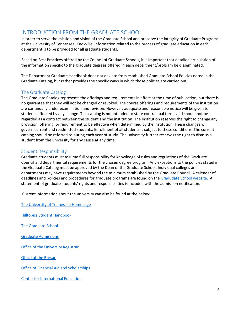# <span id="page-5-0"></span>INTRODUCTION FROM THE GRADUATE SCHOOL

In order to serve the mission and vision of the Graduate School and preserve the integrity of Graduate Programs at the University of Tennessee, Knoxville, information related to the process of graduate education in each department is to be provided for all graduate students.

Based on Best Practices offered by the Council of Graduate Schools, it is important that detailed articulation of the information specific to the graduate degrees offered in each department/program be disseminated.

The Department Graduate Handbook does not deviate from established Graduate School Policies noted in the Graduate Catalog, but rather provides the specific ways in which those policies are carried out.

# <span id="page-5-1"></span>The Graduate Catalog

The Graduate Catalog represents the offerings and requirements in effect at the time of publication, but there is no guarantee that they will not be changed or revoked. The course offerings and requirements of the institution are continually under examination and revision. However, adequate and reasonable notice will be given to students affected by any change. This catalog is not intended to state contractual terms and should not be regarded as a contract between the student and the institution. The institution reserves the right to change any provision, offering, or requirement to be effective when determined by the institution. These changes will govern current and readmitted students. Enrollment of all students is subject to these conditions. The current catalog should be referred to during each year of study. The university further reserves the right to dismiss a student from the university for any cause at any time.

# <span id="page-5-2"></span>Student Responsibility

Graduate students must assume full responsibility for knowledge of rules and regulations of the Graduate Council and departmental requirements for the chosen degree program. Any exceptions to the policies stated in the Graduate Catalog must be approved by the Dean of the Graduate School. Individual colleges and departments may have requirements beyond the minimum established by the Graduate Council. A calendar of deadlines and policies and procedures for graduate programs are found on th[e Gradudate School website.](https://gradschool.utk.edu/) A statement of graduate students' rights and responsibilities is included with the admission notification.

Current information about the university can also be found at the below:

[The University of Tennessee Homepage](https://utk.edu/) 

[Hilltopics Student Handbook](https://hilltopics.utk.edu/)

[The Graduate School](https://gradschool.utk.edu/)

[Graduate Admissions](https://gradschool.utk.edu/admissions/)

[Office of the University Registrar](https://registrar.utk.edu/)

[Office of the Bursar](https://bursar.utk.edu/)

[Office of Financial Aid and Scholarships](https://onestop.utk.edu/financial-aid/)

[Center for International Education](https://international.utk.edu/)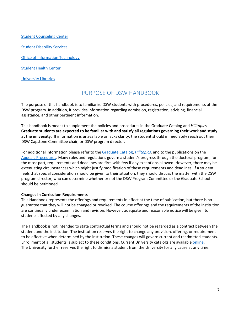[Student Counseling Center](https://counselingcenter.utk.edu/) [Student Disability Services](https://sds.utk.edu/) [Office of Information Technology](https://oit.utk.edu/)

[Student Health Center](https://studenthealth.utk.edu/)

<span id="page-6-0"></span>[University Libraries](https://www.lib.utk.edu/)

# PURPOSE OF DSW HANDBOOK

The purpose of this handbook is to familiarize DSW students with procedures, policies, and requirements of the DSW program. In addition, it provides information regarding admission, registration, advising, financial assistance, and other pertinent information.

This handbook is meant to supplement the policies and procedures in the Graduate Catalog and *Hilltopics.* **Graduate students are expected to be familiar with and satisfy all regulations governing their work and study at the university.** If information is unavailable or lacks clarity, the student should immediately reach out their DSW Capstone Committee chair, or DSW program director.

For additional information please refer to the [Graduate Catalog,](https://catalog.utk.edu/index.php?catoid=30) *[Hilltopics,](https://hilltopics.utk.edu/)* and to the publications on the [Appeals Procedures.](https://gradschool.utk.edu/graduate-student-life/understanding-your-rights-and-obligations/) Many rules and regulations govern a student's progress through the doctoral program; for the most part, requirements and deadlines are firm with few if any exceptions allowed. However, there may be extenuating circumstances which might justify modification of these requirements and deadlines. If a student feels that special consideration should be given to their situation, they should discuss the matter with the DSW program director, who can determine whether or not the DSW Program Committee or the Graduate School should be petitioned.

#### **Changes in Curriculum Requirements**

This Handbook represents the offerings and requirements in effect at the time of publication, but there is no guarantee that they will not be changed or revoked. The course offerings and the requirements of the institution are continually under examination and revision. However, adequate and reasonable notice will be given to students affected by any changes.

The Handbook is not intended to state contractual terms and should not be regarded as a contract between the student and the institution. The institution reserves the right to change any provision, offering, or requirement to be effective when determined by the institution. These changes will govern current and readmitted students. Enrollment of all students is subject to these conditions. Current University catalogs are availabl[e online.](https://catalog.utk.edu/index.php?catoid=33) The University further reserves the right to dismiss a student from the University for any cause at any time.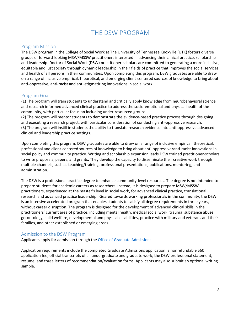# THE DSW PROGRAM

# <span id="page-7-1"></span><span id="page-7-0"></span>Program Mission

The DSW program in the College of Social Work at The University of Tennessee Knoxville (UTK) fosters diverse groups of forward-looking MSW/MSSW practitioners interested in advancing their clinical practice, scholarship and leadership. Doctor of Social Work (DSW) practitioner-scholars are committed to generating a more inclusive, equitable and just society through dynamic leadership in their fields of practice that improves the social services and health of all persons in their communities. Upon completing this program, DSW graduates are able to draw on a range of inclusive empirical, theoretical, and emerging client-centered sources of knowledge to bring about anti-oppressive, anti-racist and anti-stigmatizing innovations in social work.

# <span id="page-7-2"></span>Program Goals

(1) The program will train students to understand and critically apply knowledge from neurobehavioral science and research informed advanced clinical practice to address the socio-emotional and physical health of the community, with particular focus on including under-resourced groups.

(2) The program will mentor students to demonstrate the evidence-based practice process through designing and executing a research project, with particular consideration of conducting anti-oppressive research. (3) The program will instill in students the ability to translate research evidence into anti-oppressive advanced clinical and leadership practice settings.

Upon completing this program, DSW graduates are able to draw on a range of inclusive empirical, theoretical, professional and client-centered sources of knowledge to bring about anti-oppressive/anti-racist innovations in social policy and community practice. Writing and scholarship expansion leads DSW trained practitioner-scholars to write proposals, papers, and grants. They develop the capacity to disseminate their creative work through multiple channels, such as teaching/training, professional presentations, publications, mentoring, and administration.

The DSW is a professional practice degree to enhance community-level resources. The degree is not intended to prepare students for academic careers as researchers. Instead, it is designed to prepare MSW/MSSW practitioners, experienced at the master's level in social work, for advanced clinical practice, translational research and advanced practice leadership. Geared towards working professionals in the community, the DSW is an intensive accelerated program that enables students to satisfy all degree requirements in three years, without career disruption. The program is designed for the development of advanced clinical skills in the practitioners' current area of practice, including mental health, medical social work, trauma, substance abuse, gerontology, child welfare, developmental and physical disabilities, practice with military and veterans and their families, and other established or emerging areas.

#### <span id="page-7-3"></span>Admission to the DSW Program

Applicants apply for admission through th[e Office of Graduate Admissions.](http://graduateadmissions.utk.edu/)

Application requirements include the completed Graduate Admissions application, a nonrefundable \$60 application fee, official transcripts of all undergraduate and graduate work, the DSW professional statement, resume, and three letters of recommendation/evaluation forms. Applicants may also submit an optional writing sample.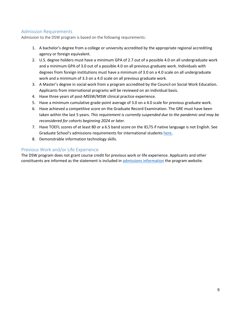# <span id="page-8-0"></span>Admission Requirements

Admission to the DSW program is based on the following requirements:

- 1. A bachelor's degree from a college or university accredited by the appropriate regional accrediting agency or foreign equivalent.
- 2. U.S. degree holders must have a minimum GPA of 2.7 out of a possible 4.0 on all undergraduate work and a minimum GPA of 3.0 out of a possible 4.0 on all previous graduate work. Individuals with degrees from foreign institutions must have a minimum of 3.0 on a 4.0 scale on all undergraduate work and a minimum of 3.3 on a 4.0 scale on all previous graduate work.
- 3. A Master's degree in social work from a program accredited by the Council on Social Work Education. Applicants from international programs will be reviewed on an individual basis.
- 4. Have three years of post-MSSW/MSW clinical practice experience.
- 5. Have a minimum cumulative grade-point average of 3.0 on a 4.0 scale for previous graduate work.
- 6. Have achieved a competitive score on the [Graduate Record Examination.](http://www.ets.org/) The GRE must have been taken within the last 5 years. *This requirement is currently suspended due to the pandemic and may be reconsidered for cohorts beginning 2024 or later.*
- 7. Have TOEFL scores of at least 80 or a 6.5 band score on the IELTS if native language is not English. See Graduate School's admissions requirements for international student[s here.](https://gradschool.utk.edu/admissions/applying-to-graduate-school/admissions-for-international-students/)
- 8. Demonstrable information technology skills.

# <span id="page-8-1"></span>Previous Work and/or Life Experience

The DSW program does not grant course credit for previous work or life experience. Applicants and other constituents are informed as the statement is included in [admissions information](https://www.csw.utk.edu/doctor-of-social-work-degree-dsw-in-clinical-practice-leadership-program/) the program website.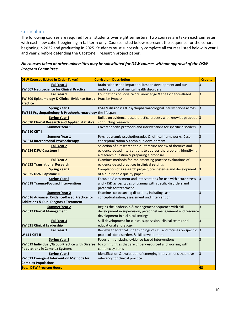# <span id="page-9-0"></span>Curriculum

The following courses are required for all students over eight semesters. Two courses are taken each semester with each new cohort beginning in fall term only. Courses listed below represent the sequence for the cohort beginning in 2022 and graduating in 2025. Students must successfully complete all courses listed below in year 1 and year 2 before defending the Capstone II research project paper.

#### *No courses taken at other universities may be substituted for DSW courses without approval of the DSW Program Committee.*

| <b>DSW Courses (Listed in Order Taken)</b>               | <b>Curriculum Description</b>                                          | <b>Credits</b> |
|----------------------------------------------------------|------------------------------------------------------------------------|----------------|
| <b>Fall Year 1</b>                                       | Brain science and impact on lifespan development and our               | З              |
| <b>SW 607 Neuroscience for Clinical Practice</b>         | understanding of mental health disorders                               |                |
| <b>Fall Year 1</b>                                       | Foundations of Social Work knowledge & the Evidence-Based              | 3              |
| <b>SW 609 Epistemology &amp; Clinical Evidence-Based</b> | <b>Practice Process</b>                                                |                |
| <b>Practice</b>                                          |                                                                        |                |
| <b>Spring Year 1</b>                                     | DSM V diagnoses & psychopharmacological Interventions across           | З              |
| SW615 Psychopathology & Psychopharmacology the lifespan  |                                                                        |                |
| <b>Spring Year 1</b>                                     | Builds on evidence-based practice process with knowledge about $\beta$ |                |
| <b>SW 620 Clinical Research and Applied Statistics</b>   | conducting research                                                    |                |
| <b>Summer Year 1</b>                                     | Covers specific protocols and interventions for specific disorders     | з              |
| <b>SW 610 CBT I</b>                                      |                                                                        |                |
| <b>Summer Year 1</b>                                     | Psychodynamic psychotherapies & clinical frameworks. Case              | 3              |
| SW 614 Interpersonal Psychotherapy                       | conceptualization & technique development                              |                |
| <b>Fall Year 2</b>                                       | Selection of a research topic, literature review of theories and       | 3              |
| <b>SW 624 DSW Capstone I</b>                             | evidence-based interventions to address the problem. Identifying       |                |
|                                                          | a research question & preparing a proposal.                            |                |
| <b>Fall Year 2</b>                                       | Examines methods for Implementing practice evaluations of              | з              |
| <b>SW 622 Translational Research</b>                     | evidence-based practices in clinical settings                          |                |
| <b>Spring Year 2</b>                                     | Completion of a research project, oral defense and development         | B              |
| <b>SW 625 DSW Capstone II</b>                            | of a publishable quality paper                                         |                |
| <b>Spring Year 2</b>                                     | Focus on Assessment and interventions for use with acute stress        | lЗ             |
| <b>SW 618 Trauma-Focused Interventions</b>               | and PTSD across types of trauma with specific disorders and            |                |
|                                                          | protocols for treatment                                                |                |
| <b>Summer Year 2</b>                                     | Examines co-occurring disorders, including case                        | З              |
| SW 616 Advanced Evidence-Based Practice for              | conceptualization, assessment and intervention                         |                |
| <b>Addictions &amp; Dual Diagnosis Treatment</b>         |                                                                        |                |
| <b>Summer Year 2</b>                                     | Begins the leadership & management sequence with skill                 | k              |
| <b>SW 617 Clinical Management</b>                        | development in supervision, personnel management and resource          |                |
|                                                          | development in a clinical settings                                     |                |
| <b>Fall Year 3</b>                                       | Skill development for clinical supervision, clinical teams and         | з              |
| <b>SW 621 Clinical Leadership</b>                        | educational andragogy                                                  |                |
| Fall Year 3                                              | Reviews theoretical underpinnings of CBT and focuses on specific       | <sub>3</sub>   |
| <b>W 611 CBT II</b>                                      | protocols for disorders & skill development                            |                |
| <b>Spring Year 3</b>                                     | Focus on translating evidence-based interventions                      | З              |
| SW 619 Individual / Group Practice with Diverse          | to communities that are under-resourced and working with               |                |
| <b>Populations in Complex Systems</b>                    | complex systems                                                        |                |
| <b>Spring Year 3</b>                                     | Identification & evaluation of emerging interventions that have        | З              |
| SW 623 Emergent Intervention Methods for                 | relevancy for clinical practice                                        |                |
| <b>Complex Populations</b>                               |                                                                        |                |
| <b>Total DSW Program Hours</b>                           |                                                                        | 48             |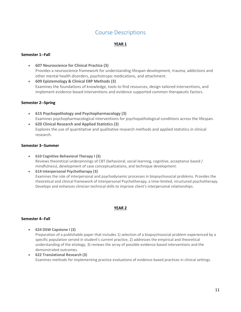# Course Descriptions

#### **YEAR 1**

#### <span id="page-10-0"></span>**Semester 1--Fall**

- **607 Neuroscience for Clinical Practice (3)** Provides a neuroscience framework for understanding lifespan development, trauma, addictions and other mental health disorders, psychotropic medications, and attachment.
- **609 Epistemology & Clinical EBP Methods (3)** Examines the foundations of knowledge, tools to find resources, design tailored interventions, and implement evidence-based interventions and evidence supported common therapeutic factors.

#### **Semester 2--Spring**

- **615 Psychopathology and Psychopharmacology (3)** Examines psychopharmacological interventions for psychopathological conditions across the lifespan.
- **620 Clinical Research and Applied Statistics (3)** Explores the use of quantitative and qualitative research methods and applied statistics in clinical research.

#### **Semester 3--Summer**

- **610 Cognitive Behavioral Therapy I (3)** Reviews theoretical underpinnings of CBT (behavioral, social learning, cognitive, acceptance based / mindfulness), development of case conceptualizations, and technique development.
- **614 Interpersonal Psychotherapy (3)** Examines the role of interpersonal and psychodynamic processes in biopsychosocial problems. Provides the theoretical and clinical framework of Interpersonal Psychotherapy, a time-limited, structured psychotherapy. Develops and enhances clinician technical skills to improve client's interpersonal relationships.

#### **YEAR 2**

#### **Semester 4--Fall**

- **624 DSW Capstone I (3)** Preparation of a publishable paper that includes 1) selection of a biopsychosocial problem experienced by a specific population served in student's current practice, 2) addresses the empirical and theoretical understanding of the etiology, 3) reviews the array of possible evidence-based interventions and the demonstrated outcomes.
- **622 Translational Research (3)** Examines methods for implementing practice evaluations of evidence-based practices in clinical settings.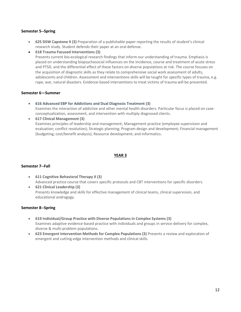#### **Semester 5--Spring**

- **625 DSW Capstone II (3)** Preparation of a publishable paper reporting the results of student's clinical research study. Student defends their paper at an oral defense.
- **618 Trauma Focused Interventions (3)**

Presents current bio-ecological research findings that inform our understanding of trauma. Emphasis is placed on understanding biopsychosocial influences on the incidence, course and treatment of acute stress and PTSD, and the differential effect of these factors on diverse populations at risk. The course focuses on the acquisition of diagnostic skills as they relate to comprehensive social work assessment of adults, adolescents and children. Assessment and interventions skills will be taught for specific types of trauma, e.g. rape, war, natural disasters. Evidence-based interventions to treat victims of trauma will be presented.

#### **Semester 6—Summer**

• **616 Advanced EBP for Addictions and Dual Diagnosis Treatment (3)** Examines the interaction of addictive and other mental health disorders. Particular focus is placed on case-

conceptualization, assessment, and intervention with multiply diagnosed clients.

• **617 Clinical Management (3)** Examines principles of leadership and management; Management practice (employee supervision and evaluation; conflict resolution); Strategic planning; Program design and development; Financial management (budgeting, cost/benefit analysis); Resource development; and Informatics.

#### **YEAR 3**

#### **Semester 7--Fall**

- **611 Cognitive Behavioral Therapy II (3)** Advanced practice course that covers specific protocols and CBT interventions for specific disorders.
- **621 Clinical Leadership (3)** Presents knowledge and skills for effective management of clinical teams, clinical supervision, and educational andragogy.

#### **Semester 8--Spring**

- **619 Individual/Group Practice with Diverse Populations in Complex Systems (3)** Examines adaptive evidence-based practice with individuals and groups in service delivery for complex, diverse & multi-problem populations.
- **623 Emergent Intervention Methods for Complex Populations (3)** Presents a review and exploration of emergent and cutting-edge intervention methods and clinical skills.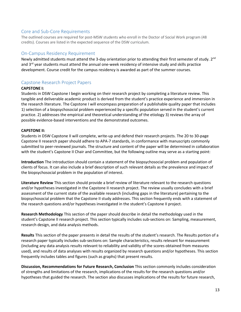## Core and Sub-Core Requirements

The outlined courses are required for post-MSW students who enroll in the Doctor of Social Work program (48 credits). Courses are listed in the expected sequence of the DSW curriculum.

## <span id="page-12-0"></span>On-Campus Residency Requirement

Newly admitted students must attend the 3-day orientation prior to attending their first semester of study.  $2^{nd}$ and  $3<sup>rd</sup>$  year students must attend the annual one-week residency of intensive study and skills practice development. Course credit for the campus residency is awarded as part of the summer courses.

# <span id="page-12-1"></span>Capstone Research Project Papers

#### **CAPSTONE I:**

Students in DSW Capstone I begin working on their research project by completing a literature review. This tangible and deliverable academic product is derived from the student's practice experience and immersion in the research literature. The Capstone I will encompass preparation of a publishable quality paper that includes 1) selection of a biopsychosocial problem experienced by a specific population served in the student's current practice. 2) addresses the empirical and theoretical understanding of the etiology 3) reviews the array of possible evidence-based interventions and the demonstrated outcomes.

#### **CAPSTONE II:**

Students in DSW Capstone II will complete, write-up and defend their research projects. The 20 to 30-page Capstone II research paper should adhere to APA-7 standards, in conformance with manuscripts commonly submitted to peer-reviewed journals. The structure and content of the paper will be determined in collaboration with the student's Capstone II Chair and Committee, but the following outline may serve as a starting point:

**Introduction** The introduction should contain a statement of the biopsychosocial problem and population of clients of focus. It can also include a brief description of such relevant details as the prevalence and impact of the biopsychosocial problem in the population of interest.

**Literature Review** This section should provide a brief review of literature relevant to the research questions and/or hypotheses investigated in the Capstone II research project. The review usually concludes with a brief assessment of the current state of the available research (including gaps in the literature) pertaining to the biopsychosocial problem that the Capstone II study addresses. This section frequently ends with a statement of the research questions and/or hypotheses investigated in the student's Capstone II project.

**Research Methodology** This section of the paper should describe in detail the methodology used in the student's Capstone II research project. This section typically includes sub-sections on: Sampling, measurement, research design, and data analysis methods.

**Results** This section of the paper presents in detail the results of the student's research. The Results portion of a research paper typically includes sub-sections on: Sample characteristics, results relevant for measurement (including any data analysis results relevant to reliability and validity of the scores obtained from measures used), and results of data analyses with results organized by research questions and/or hypotheses. This section frequently includes tables and figures (such as graphs) that present results.

**Discussion, Recommendations for Future Research, Conclusion** This section commonly includes consideration of strengths and limitations of the research, implications of the results for the research questions and/or hypotheses that guided the research. The section also discusses implications of the results for future research,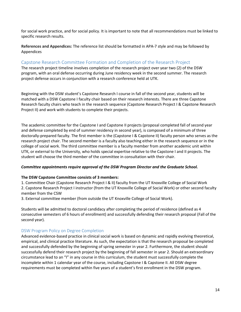for social work practice, and for social policy. It is important to note that all recommendations must be linked to specific research results.

**References and Appendices:** The reference list should be formatted in APA-7 style and may be followed by Appendices

# <span id="page-13-0"></span>Capstone Research Committee Formation and Completion of the Research Project

The research project timeline involves completion of the research project over year two (2) of the DSW program, with an oral defense occurring during June residency week in the second summer. The research project defense occurs in conjunction with a research conference held at UTK.

Beginning with the DSW student's Capstone Research I course in fall of the second year, students will be matched with a DSW Capstone I faculty chair based on their research interests. There are three Capstone Research faculty chairs who teach in the research sequence (Capstone Research Project I & Capstone Research Project II) and work with students to complete their projects.

The academic committee for the Capstone I and Capstone II projects (proposal completed fall of second year and defense completed by end of summer residency in second year), is composed of a minimum of three doctorally-prepared faculty. The first member is the (Capstone I & Capstone II) faculty person who serves as the research project chair. The second member is a faculty also teaching either in the research sequence or in the college of social work. The third committee member is a faculty member from another academic unit within UTK, or external to the University, who holds special expertise relative to the Capstone I and II projects. The student will choose the third member of the committee in consultation with their chair.

#### *Committee appointments require approval of the DSW Program Director and the Graduate School.*

#### **The DSW Capstone Committee consists of 3 members:**

1. Committee Chair (Capstone Research Project I & II) faculty from the UT Knoxville College of Social Work 2. Capstone Research Project I instructor (from the UT Knoxville College of Social Work) or other second faculty member from the CSW

3. External committee member (from outside the UT Knoxville College of Social Work).

Students will be admitted to doctoral candidacy after completing the period of residence (defined as 4 consecutive semesters of 6 hours of enrollment) and successfully defending their research proposal (Fall of the second year).

# <span id="page-13-1"></span>DSW Program Policy on Degree Completion

Advanced evidence-based practice in clinical social work is based on dynamic and rapidly evolving theoretical, empirical, and clinical practice literature. As such, the expectation is that the research proposal be completed and successfully defended by the beginning of spring semester in year 2. Furthermore, the student should successfully defend their research project by the beginning of fall semester in year 2. Should an extraordinary circumstance lead to an "I" in any course in this curriculum, the student must successfully complete the incomplete within 1 calendar year of the course, including Capstone I & Capstone II. All DSW degree requirements must be completed within five years of a student's first enrollment in the DSW program.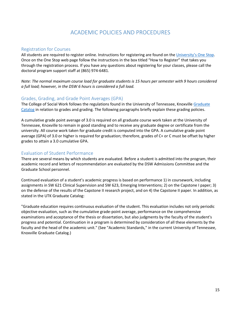# ACADEMIC POLICIES AND PROCEDURES

## <span id="page-14-1"></span><span id="page-14-0"></span>Registration for Courses

All students are required to register online. Instructions for registering are found on the [University's One Stop.](https://onestop.utk.edu/class-registration/) Once on the One Stop web page follow the instructions in the box titled "How to Register" that takes you through the registration process. If you have any questions about registering for your classes, please call the doctoral program support staff at (865) 974-6481.

*Note: The normal maximum course load for graduate students is 15 hours per semester with 9 hours considered a full load; however, in the DSW 6 hours is considered a full load.*

#### <span id="page-14-2"></span>Grades, Grading, and Grade Point Averages (GPA)

The College of Social Work follows the regulations found in the University of Tennessee, Knoxville Graduate [Catalog](http://catalog.utk.edu/index.php) in relation to grades and grading. The following paragraphs briefly explain these grading policies.

A cumulative grade point average of 3.0 is required on all graduate course work taken at the University of Tennessee, Knoxville to remain in good standing and to receive any graduate degree or certificate from the university. All course work taken for graduate credit is computed into the GPA. A cumulative grade point average (GPA) of 3.0 or higher is required for graduation; therefore, grades of C+ or C must be offset by higher grades to attain a 3.0 cumulative GPA.

# <span id="page-14-3"></span>Evaluation of Student Performance

There are several means by which students are evaluated. Before a student is admitted into the program, their academic record and letters of recommendation are evaluated by the DSW Admissions Committee and the Graduate School personnel.

Continued evaluation of a student's academic progress is based on performance 1) in coursework, including assignments in SW 621 Clinical Supervision and SW 623, Emerging Interventions; 2) on the Capstone I paper; 3) on the defense of the results of the Capstone II research project, and on 4) the Capstone II paper. In addition, as stated in the UTK Graduate Catalog:

"Graduate education requires continuous evaluation of the student. This evaluation includes not only periodic objective evaluation, such as the cumulative grade-point average, performance on the comprehensive examinations and acceptance of the thesis or dissertation, but also judgments by the faculty of the student's progress and potential. Continuation in a program is determined by consideration of all these elements by the faculty and the head of the academic unit." (See "Academic Standards," in the current University of Tennessee, Knoxville Graduate Catalog.)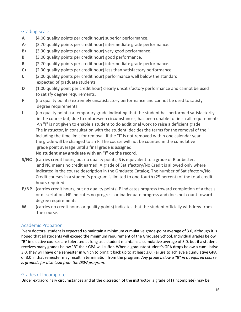# <span id="page-15-0"></span>Grading Scale

- **A** (4.00 quality points per credit hour) superior performance.
- **A-** (3.70 quality points per credit hour) intermediate grade performance.
- **B+** (3.30 quality points per credit hour) very good performance.
- **B** (3.00 quality points per credit hour) good performance.
- **B-** (2.70 quality points per credit hour) intermediate grade performance.
- **C+** (2.30 quality points per credit hour) less than satisfactory performance.
- **C** (2.00 quality points per credit hour) performance well below the standard expected of graduate students.
- **D** (1.00 quality point per credit hour) clearly unsatisfactory performance and cannot be used to satisfy degree requirements.
- **F** (no quality points) extremely unsatisfactory performance and cannot be used to satisfy degree requirements.
- **I** (no quality points) a temporary grade indicating that the student has performed satisfactorily in the course but, due to unforeseen circumstances, has been unable to finish all requirements. An "I" is not given to enable a student to do additional work to raise a deficient grade. The instructor, in consultation with the student, decides the terms for the removal of the "I", including the time limit for removal. If the "I" is not removed within one calendar year, the grade will be changed to an F. The course will not be counted in the cumulative grade point average until a final grade is assigned.

# **No student may graduate with an "I" on the record**.

- **S/NC** (carries credit hours, but no quality points) S is equivalent to a grade of B or better, and NC means no credit earned. A grade of Satisfactory/No Credit is allowed only where indicated in the course description in the Graduate Catalog. The number of Satisfactory/No Credit courses in a student's program is limited to one-fourth (25 percent) of the total credit hours required.
- **P/NP** (carries credit hours, but no quality points) P indicates progress toward completion of a thesis or dissertation. NP indicates no progress or inadequate progress and does not count toward degree requirements.
- **W** (carries no credit hours or quality points) indicates that the student officially withdrew from the course.

# <span id="page-15-1"></span>Academic Probation

Every doctoral student is expected to maintain a minimum cumulative grade-point average of 3.0, although it is hoped that all students will exceed the minimum requirement of the Graduate School. Individual grades below "B" in elective courses are tolerated as long as a student maintains a cumulative average of 3.0, but if a student receives many grades below "B" their GPA will suffer. When a graduate student's GPA drops below a cumulative 3.0, they will have one semester in which to bring it back up to at least 3.0. Failure to achieve a cumulative GPA of 3.0 in that semester may result in termination from the program. *Any grade below a "B" in a required course is grounds for dismissal from the DSW program.*

# <span id="page-15-2"></span>Grades of Incomplete

Under extraordinary circumstances and at the discretion of the instructor, a grade of I (Incomplete) may be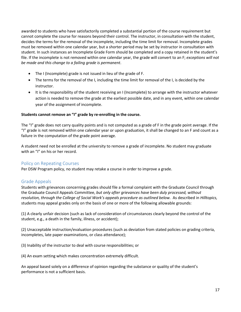awarded to students who have satisfactorily completed a substantial portion of the course requirement but cannot complete the course for reasons beyond their control. The instructor, in consultation with the student, decides the terms for the removal of the incomplete, including the time limit for removal. Incomplete grades must be removed within one calendar year, but a shorter period may be set by instructor in consultation with student. In such instances an Incomplete Grade Form should be completed and a copy retained in the student's file. If the incomplete is not removed within one calendar year, the grade will convert to an F; *exceptions will not be made and this change to a failing grade is permanent*.

- The I (Incomplete) grade is not issued in lieu of the grade of F.
- The terms for the removal of the I, including the time limit for removal of the I, is decided by the instructor.
- It is the responsibility of the student receiving an I (Incomplete) to arrange with the instructor whatever action is needed to remove the grade at the earliest possible date, and in any event, within one calendar year of the assignment of incomplete.

#### **Students cannot remove an "I" grade by re-enrolling in the course.**

The "I" grade does not carry quality points and is not computed as a grade of F in the grade point average. If the "I" grade is not removed within one calendar year or upon graduation, it shall be changed to an F and count as a failure in the computation of the grade point average.

A student need not be enrolled at the university to remove a grade of incomplete. No student may graduate with an "I" on his or her record.

#### <span id="page-16-0"></span>Policy on Repeating Courses

Per DSW Program policy, no student may retake a course in order to improve a grade.

# <span id="page-16-1"></span>Grade Appeals

Students with grievances concerning grades should file a formal complaint with the Graduate Council through the Graduate Council Appeals Committee, *but only after grievances have been duly processed, without resolution, through the College of Social Work's appeals procedure as outlined below.* As described in *Hilltopics,* students may appeal grades only on the basis of one or more of the following allowable grounds:

(1) A clearly unfair decision (such as lack of consideration of circumstances clearly beyond the control of the student, e.g., a death in the family, illness, or accident);

(2) Unacceptable instruction/evaluation procedures (such as deviation from stated policies on grading criteria, incompletes, late paper examinations, or class attendance);

(3) Inability of the instructor to deal with course responsibilities; or

(4) An exam setting which makes concentration extremely difficult.

An appeal based solely on a difference of opinion regarding the substance or quality of the student's performance is not a sufficient basis.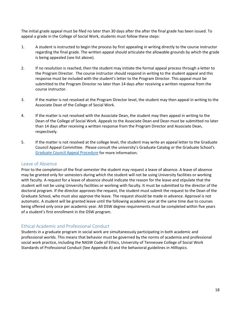The initial grade appeal must be filed no later than 30 days after the after the final grade has been issued. To appeal a grade in the College of Social Work, students must follow these steps:

- 1. A student is instructed to begin the process by first appealing in writing directly to the course instructor regarding the final grade. The written appeal should articulate the allowable grounds by which the grade is being appealed (see list above).
- 2. If no resolution is reached, then the student may initiate the formal appeal process through a letter to the Program Director. The course instructor should respond in writing to the student appeal and this response must be included with the student's letter to the Program Director. This appeal must be submitted to the Program Director no later than 14 days after receiving a written response from the course instructor.
- 3. If the matter is not resolved at the Program Director level, the student may then appeal in writing to the Associate Dean of the College of Social Work.
- 4. If the matter is not resolved with the Associate Dean, the student may then appeal in writing to the Dean of the College of Social Work. Appeals to the Associate Dean and Dean must be submitted no later than 14 days after receiving a written response from the Program Director and Associate Dean, respectively.
- 5. If the matter is not resolved at the college level, the student may write an appeal letter to the Graduate Council Appeal Committee. Please consult the university's Graduate Catalog or the Graduate School's [Graduate Council Appeal Procedure](https://gradschool.utk.edu/graduate-student-life/understanding-your-rights-and-obligations/) for more information.

#### <span id="page-17-0"></span>Leave of Absence

Prior to the completion of the final semester the student may request a leave of absence. A leave of absence may be granted only for semesters during which the student will not be using University facilities or working with faculty. A request for a leave of absence should indicate the reason for the leave and stipulate that the student will not be using University facilities or working with faculty. It must be submitted to the director of the doctoral program. If the director approves the request, the student must submit the request to the Dean of the Graduate School, who must also approve the leave. The request should be made in advance. Approval is not automatic. A student will be granted leave until the following academic year at the same time due to courses being offered only once per academic year. All DSW degree requirements must be completed within five years of a student's first enrollment in the DSW program.

# <span id="page-17-1"></span>Ethical Academic and Professional Conduct

Students in a graduate program in social work are simultaneously participating in both academic and professional worlds. This means that behavior must be governed by the norms of academia and professional social work practice, including the NASW Code of Ethics, University of Tennessee College of Social Work Standards of Professional Conduct (See Appendix A) and the behavioral guidelines in *Hilltopics.*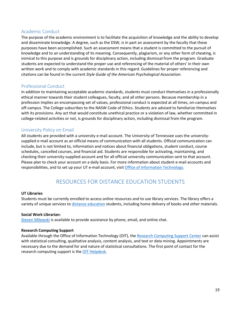## <span id="page-18-0"></span>Academic Conduct

The purpose of the academic environment is to facilitate the acquisition of knowledge and the ability to develop and disseminate knowledge. A degree, such as the DSW, is in part an assessment by the faculty that these purposes have been accomplished. Such an assessment means that a student is committed to the pursuit of knowledge and to an understanding of its meaning. Consequently, plagiarism, or any other form of cheating, is inimical to this purpose and is grounds for disciplinary action, including dismissal from the program. Graduate students are expected to understand the proper use and referencing of the material of others' in their own written work and to comply with academic standards in this regard. Guidelines for proper referencing and citations can be found in the current *Style Guide of the American Psychological Association.*

## <span id="page-18-1"></span>Professional Conduct

In addition to maintaining acceptable academic standards, students must conduct themselves in a professionally ethical manner towards their student colleagues, faculty, and all other persons. Because membership in a profession implies an encompassing set of values, professional conduct is expected at all times, on-campus and off-campus. The College subscribes to the NASW Code of Ethics. Students are advised to familiarize themselves with its provisions. Any act that would constitute unethical practice or a violation of law, whether committed in college-related activities or not, is grounds for disciplinary action, including dismissal from the program.

#### <span id="page-18-2"></span>University Policy on Email

All students are provided with a university e-mail account. The University of Tennessee uses the universitysupplied e-mail account as an official means of communication with all students. Official communication can include, but is not limited to, information and notices about financial obligations, student conduct, course schedules, cancelled courses, and financial aid. Students are responsible for activating, maintaining, and checking their university-supplied account and for all official university communication sent to that account. Please plan to check your account on a daily basis. For more information about student e-mail accounts and responsibilities, and to set up your UT e-mail account, visit [Office of Information Technology.](https://oit.utk.edu/)

# RESOURCES FOR DISTANCE EDUCATION STUDENTS

#### <span id="page-18-3"></span>**UT Libraries**

Students must be currently enrolled to access online resources and to use library services. The library offers a variety of unique services to [distance education](https://www.lib.utk.edu/info/distance-ed/?_ga=2.188508712.1062859834.1539195113-220908310.1528313607) students, including home delivery of books and other materials.

#### **Social Work Librarian:**

[Steven Milewski](https://libguides.utk.edu/socialwork?_ga=2.185543081.1062859834.1539195113-220908310.1528313607) is available to provide assistance by phone, email, and online chat.

#### **Research Computing Support**

Available through the Office of Information Technology (OIT), the [Research Computing Support Center](https://oit.utk.edu/research/) can assist with statistical consulting, qualitative analysis, content analysis, and text or data mining. Appointments are necessary due to the demand for and nature of statistical consultations. The first point of contact for the research computing support is th[e OIT Helpdesk.](https://oit.utk.edu/)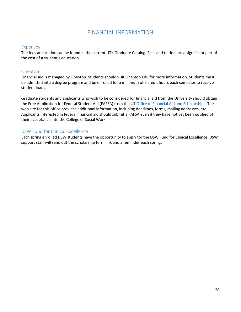# FINANCIAL INFORMATION

#### <span id="page-19-1"></span><span id="page-19-0"></span>Expenses

The fees and tuition can be found in the current UTK Graduate Catalog. Fees and tuition are a significant part of the cost of a student's education.

# <span id="page-19-2"></span>OneStop

Financial Aid is managed by OneStop. Students should visit OneStop.Edu for more information. Students must be admitted into a degree program and be enrolled for a minimum of 6 credit hours each semester to receive student loans.

Graduate students and applicants who wish to be considered for financial aid from the University should obtain the Free Application for Federal Student Aid (FAFSA) from the [UT Office of Financial Aid and Scholarships.](http://onestop.utk.edu/your-money/covering-costs/) The web site for this office provides additional information, including deadlines, forms, mailing addresses, etc. Applicants interested in federal financial aid should submit a FAFSA even if they have not yet been notified of their acceptance into the College of Social Work.

# <span id="page-19-3"></span>DSW Fund for Clinical Excellence

Each spring enrolled DSW students have the opportunity to apply for the DSW Fund for Clinical Excellence. DSW support staff will send out the scholarship form link and a reminder each spring.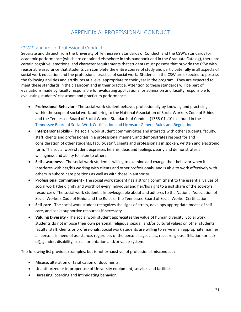# APPENDIX A: PROFESSIONAL CONDUCT

# <span id="page-20-1"></span><span id="page-20-0"></span>CSW Standards of Professional Conduct

Separate and distinct from the University of Tennessee's Standards of Conduct, and the CSW's standards for academic performance (which are contained elsewhere in this handbook and in the Graduate Catalog), there are certain cognitive, emotional and character requirements that students must possess that provide the CSW with reasonable assurance that students can complete the entire course of study and participate fully in all aspects of social work education and the professional practice of social work. Students in the CSW are expected to possess the following abilities and attributes at a level appropriate to their year in the program. They are expected to meet these standards in the classroom and in their practice. Attention to these standards will be part of evaluations made by faculty responsible for evaluating applications for admission and faculty responsible for evaluating students' classroom and practicum performance.

- **Professional Behavior** The social work student behaves professionally by knowing and practicing within the scope of social work, adhering to the National Association of Social Workers Code of Ethics and the Tennessee Board of Social Worker Standards of Conduct (1365-01-.10) as found in the [Tennessee Board of Social Work Certification and Licensure General Rules and Regulations.](https://publications.tnsosfiles.com/rules/1365/1365-01.20191027.pdf)
- **Interpersonal Skills** The social work student communicates and interacts with other students, faculty, staff, clients and professionals in a professional manner, and demonstrates respect for and consideration of other students, faculty, staff, clients and professionals in spoken, written and electronic form. The social work student expresses her/his ideas and feelings clearly and demonstrates a willingness and ability to listen to others.
- **Self-awareness** The social work student is willing to examine and change their behavior when it interferes with her/his working with clients and other professionals, and is able to work effectively with others in subordinate positions as well as with those in authority.
- **Professional Commitment** The social work student has a strong commitment to the essential values of social work (the dignity and worth of every individual and her/his right to a just share of the society's resources). The social work student is knowledgeable about and adheres to the National Association of Social Workers Code of Ethics and the Rules of the Tennessee Board of Social Worker Certification.
- **Self-care** The social work student recognizes the signs of stress, develops appropriate means of selfcare, and seeks supportive resources if necessary.
- **Valuing Diversity** The social work student appreciates the value of human diversity. Social work students do not impose their own personal, religious, sexual, and/or cultural values on other students, faculty, staff, clients or professionals. Social work students are willing to serve in an appropriate manner all persons in need of assistance, regardless of the person's age, class, race, religious affiliation (or lack of), gender, disability, sexual orientation and/or value system.

The following list provides examples, but is not exhaustive, of professional misconduct :

- Misuse, alteration or falsification of documents.
- Unauthorized or improper use of University equipment, services and facilities.
- Harassing, coercing and intimidating behavior.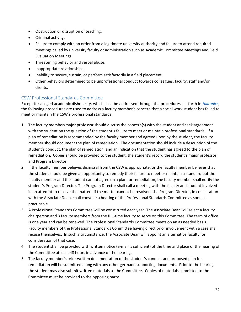- Obstruction or disruption of teaching.
- Criminal activity.
- Failure to comply with an order from a legitimate university authority and failure to attend required meetings called by university faculty or administration such as Academic Committee Meetings and Field Evaluation Meetings.
- Threatening behavior and verbal abuse.
- Inappropriate relationships.
- Inability to secure, sustain, or perform satisfactorily in a field placement.
- Other behaviors determined to be unprofessional conduct towards colleagues, faculty, staff and/or clients.

# <span id="page-21-0"></span>CSW Professional Standards Committee

Except for alleged academic dishonesty, which shall be addressed through the procedures set forth in *[Hilltopics](http://dos.utk.edu/hilltopics/)*, the following procedures are used to address a faculty member's concern that a social work student has failed to meet or maintain the CSW's professional standards:

- 1. The faculty member/major professor should discuss the concern(s) with the student and seek agreement with the student on the question of the student's failure to meet or maintain professional standards. If a plan of remediation is recommended by the faculty member and agreed upon by the student, the faculty member should document the plan of remediation. The documentation should include a description of the student's conduct, the plan of remediation, and an indication that the student has agreed to the plan of remediation. Copies should be provided to the student, the student's record the student's major professor, and Program Director.
- 2. If the faculty member believes dismissal from the CSW is appropriate, or the faculty member believes that the student should be given an opportunity to remedy their failure to meet or maintain a standard but the faculty member and the student cannot agree on a plan for remediation, the faculty member shall notify the student's Program Director. The Program Director shall call a meeting with the faculty and student involved in an attempt to resolve the matter. If the matter cannot be resolved, the Program Director, in consultation with the Associate Dean, shall convene a hearing of the Professional Standards Committee as soon as practicable.
- 3. A Professional Standards Committee will be constituted each year. The Associate Dean will select a faculty chairperson and 3 faculty members from the full-time faculty to serve on this Committee. The term of office is one year and can be renewed. The Professional Standards Committee meets on an as needed basis. Faculty members of the Professional Standards Committee having direct prior involvement with a case shall recuse themselves. In such a circumstance, the Associate Dean will appoint an alternative faculty for consideration of that case.
- 4. The student shall be provided with written notice (e-mail is sufficient) of the time and place of the hearing of the Committee at least 48 hours in advance of the hearing.
- 5. The faculty member's prior written documentation of the student's conduct and proposed plan for remediation will be submitted along with any other germane supporting documents. Prior to the hearing, the student may also submit written materials to the Committee. Copies of materials submitted to the Committee must be provided to the opposing party.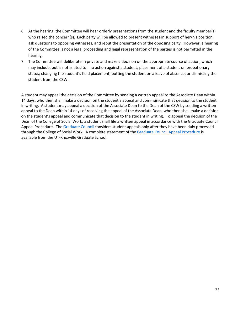- 6. At the hearing, the Committee will hear orderly presentations from the student and the faculty member(s) who raised the concern(s). Each party will be allowed to present witnesses in support of her/his position, ask questions to opposing witnesses, and rebut the presentation of the opposing party. However, a hearing of the Committee is not a legal proceeding and legal representation of the parties is not permitted in the hearing.
- 7. The Committee will deliberate in private and make a decision on the appropriate course of action, which may include, but is not limited to: no action against a student; placement of a student on probationary status; changing the student's field placement; putting the student on a leave of absence; or dismissing the student from the CSW.

A student may appeal the decision of the Committee by sending a written appeal to the Associate Dean within 14 days, who then shall make a decision on the student's appeal and communicate that decision to the student in writing. A student may appeal a decision of the Associate Dean to the Dean of the CSW by sending a written appeal to the Dean within 14 days of receiving the appeal of the Associate Dean, who then shall make a decision on the student's appeal and communicate that decision to the student in writing. To appeal the decision of the Dean of the College of Social Work, a student shall file a written appeal in accordance with the Graduate Council Appeal Procedure. The [Graduate Council](https://gradschool.utk.edu/faculty-staff/graduate-council/) considers student appeals only after they have been duly processed through the College of Social Work. A complete statement of th[e Graduate Council Appeal Procedure](https://gradschool.utk.edu/documents/2016/02/student-appeals-procedures.pdf/) is available from the UT-Knoxville Graduate School.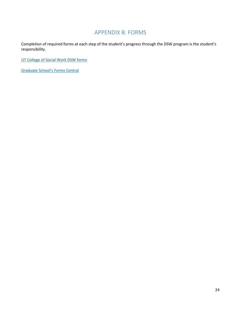# APPENDIX B: FORMS

<span id="page-23-0"></span>Completion of required forms at each step of the student's progress through the DSW program is the student's responsibility.

[UT College of Social Work DSW forms](https://www.csw.utk.edu/current-students/dsw-program-handbook-forms/) 

[Graduate School's Forms Central](https://gradschool.utk.edu/forms-central/)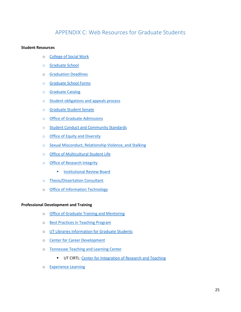# APPENDIX C: Web Resources for Graduate Students

#### <span id="page-24-0"></span>**Student Resources**

- o [College of Social Work](http://www.csw.utk.edu/)
- o [Graduate School](https://gradschool.utk.edu/)
- o [Graduation Deadlines](https://gradschool.utk.edu/graduation/graduation-deadlines/)
- o [Graduate School Forms](https://gradschool.utk.edu/forms-central/)
- o [Graduate Catalog](https://catalog.utk.edu/index.php?catoid=30)
- o [Student obligations and appeals process](https://gradschool.utk.edu/graduate-student-life/understanding-your-rights-and-obligations/)
- o [Graduate Student Senate](https://gss.utk.edu/)
- o [Office of Graduate Admissions](https://gradschool.utk.edu/admissions/)
- o [Student Conduct and Community Standards](https://studentconduct.utk.edu/)
- o [Office of Equity and Diversity](https://oed.utk.edu/)
- o [Sexual Misconduct, Relationship Violence, and Stalking](https://titleix.utk.edu/)
- o [Office of Multicultural Student Life](https://multicultural.utk.edu/)
- o [Office of Research Integrity](https://research.utk.edu/oried/) 
	- **EXECUTE: Institutional Review Board**
- o [Thesis/Dissertation Consultant](https://gradschool.utk.edu/thesesdissertations/)
- o [Office of Information Technology](https://oit.utk.edu/)

#### **Professional Development and Training**

- o [Office of Graduate Training and Mentoring](https://gradschool.utk.edu/training-and-mentorship/)
- o [Best Practices in Teaching Program](https://gradschool.utk.edu/training-and-mentorship/bpit/)
- o [UT Libraries Information for Graduate Students](https://libguides.utk.edu/graduate)
- o [Center for Career Development](https://career.utk.edu/)
- o [Tennessee Teaching and Learning Center](https://teaching.utk.edu/) 
	- **UT CIRTL: Center for Integration of Research and Teaching**
- o [Experience Learning](https://experiencelearning.utk.edu/)